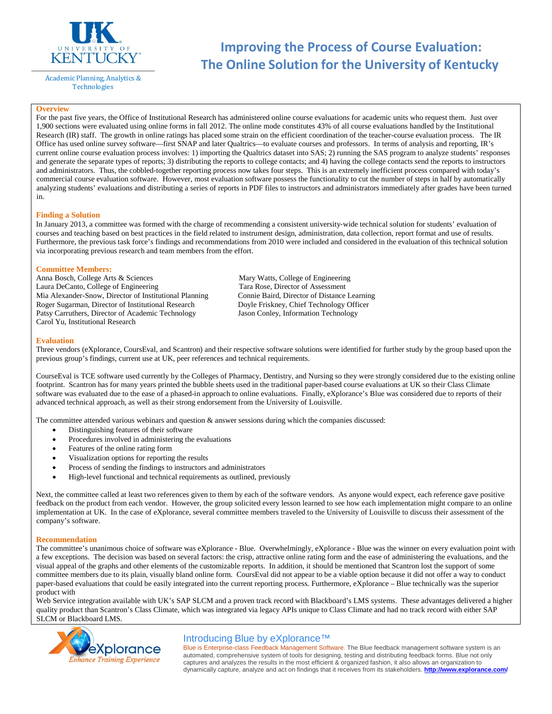

Academic Planning, Analytics & Technologies

# **Improving the Process of Course Evaluation: The Online Solution for the University of Kentucky**

## **Overview**

For the past five years, the Office of Institutional Research has administered online course evaluations for academic units who request them. Just over 1,900 sections were evaluated using online forms in fall 2012. The online mode constitutes 43% of all course evaluations handled by the Institutional Research (IR) staff. The growth in online ratings has placed some strain on the efficient coordination of the teacher-course evaluation process. The IR Office has used online survey software—first SNAP and later Qualtrics—to evaluate courses and professors. In terms of analysis and reporting, IR's current online course evaluation process involves: 1) importing the Qualtrics dataset into SAS; 2) running the SAS program to analyze students' responses and generate the separate types of reports; 3) distributing the reports to college contacts; and 4) having the college contacts send the reports to instructors and administrators. Thus, the cobbled-together reporting process now takes four steps. This is an extremely inefficient process compared with today's commercial course evaluation software. However, most evaluation software possess the functionality to cut the number of steps in half by automatically analyzing students' evaluations and distributing a series of reports in PDF files to instructors and administrators immediately after grades have been turned in.

## **Finding a Solution**

In January 2013, a committee was formed with the charge of recommending a consistent university-wide technical solution for students' evaluation of courses and teaching based on best practices in the field related to instrument design, administration, data collection, report format and use of results. Furthermore, the previous task force's findings and recommendations from 2010 were included and considered in the evaluation of this technical solution via incorporating previous research and team members from the effort.

## **Committee Members:**

Anna Bosch, College Arts & Sciences Mary Watts, College of Engineering Laura DeCanto, College of Engineering Tara Rose, Director of Assessment Mia Alexander-Snow, Director of Institutional Planning Connie Baird, Director of Distance Learning Roger Sugarman, Director of Institutional Research Doyle Friskney, Chief Technology Officer Patsy Carruthers, Director of Academic Technology Jason Conley, Information Technology Carol Yu, Institutional Research

#### **Evaluation**

Three vendors (eXplorance, CoursEval, and Scantron) and their respective software solutions were identified for further study by the group based upon the previous group's findings, current use at UK, peer references and technical requirements.

CourseEval is TCE software used currently by the Colleges of Pharmacy, Dentistry, and Nursing so they were strongly considered due to the existing online footprint. Scantron has for many years printed the bubble sheets used in the traditional paper-based course evaluations at UK so their Class Climate software was evaluated due to the ease of a phased-in approach to online evaluations. Finally, eXplorance's Blue was considered due to reports of their advanced technical approach, as well as their strong endorsement from the University of Louisville.

The committee attended various webinars and question & answer sessions during which the companies discussed:

- Distinguishing features of their software
- Procedures involved in administering the evaluations
- Features of the online rating form
- Visualization options for reporting the results
- Process of sending the findings to instructors and administrators
- High-level functional and technical requirements as outlined, previously

Next, the committee called at least two references given to them by each of the software vendors. As anyone would expect, each reference gave positive feedback on the product from each vendor. However, the group solicited every lesson learned to see how each implementation might compare to an online implementation at UK. In the case of eXplorance, several committee members traveled to the University of Louisville to discuss their assessment of the company's software.

# **Recommendation**

The committee's unanimous choice of software was eXplorance - Blue. Overwhelmingly, eXplorance - Blue was the winner on every evaluation point with a few exceptions. The decision was based on several factors: the crisp, attractive online rating form and the ease of administering the evaluations, and the visual appeal of the graphs and other elements of the customizable reports. In addition, it should be mentioned that Scantron lost the support of some committee members due to its plain, visually bland online form. CoursEval did not appear to be a viable option because it did not offer a way to conduct paper-based evaluations that could be easily integrated into the current reporting process. Furthermore, eXplorance – Blue technically was the superior product with

Web Service integration available with UK's SAP SLCM and a proven track record with Blackboard's LMS systems. These advantages delivered a higher quality product than Scantron's Class Climate, which was integrated via legacy APIs unique to Class Climate and had no track record with either SAP SLCM or Blackboard LMS.



# Introducing Blue by eXplorance™

Blue is Enterprise-class Feedback Management Software. The Blue feedback management software system is an automated, comprehensive system of tools for designing, testing and distributing feedback forms. Blue not only captures and analyzes the results in the most efficient & organized fashion, it also allows an organization to dynamically capture, analyze and act on findings that it receives from its stakeholders. **<http://www.explorance.com/>**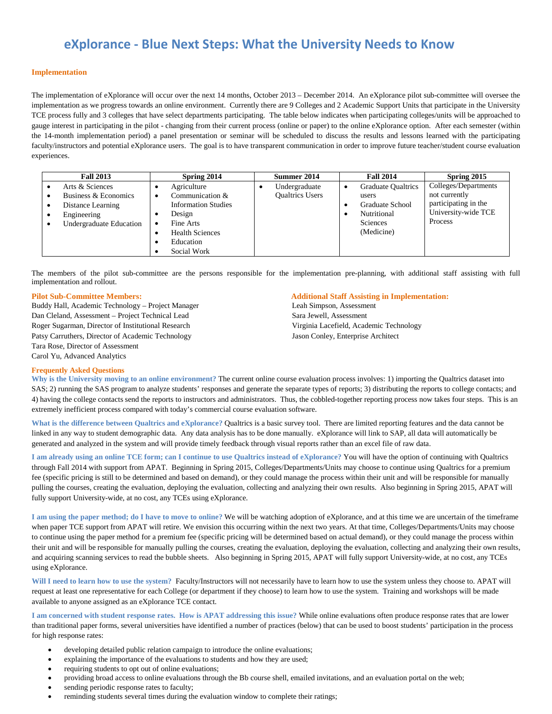# **eXplorance - Blue Next Steps: What the University Needs to Know**

## **Implementation**

The implementation of eXplorance will occur over the next 14 months, October 2013 – December 2014. An eXplorance pilot sub-committee will oversee the implementation as we progress towards an online environment. Currently there are 9 Colleges and 2 Academic Support Units that participate in the University TCE process fully and 3 colleges that have select departments participating. The table below indicates when participating colleges/units will be approached to gauge interest in participating in the pilot - changing from their current process (online or paper) to the online eXplorance option. After each semester (within the 14-month implementation period) a panel presentation or seminar will be scheduled to discuss the results and lessons learned with the participating faculty/instructors and potential eXplorance users. The goal is to have transparent communication in order to improve future teacher/student course evaluation experiences.

| <b>Fall 2013</b>        |   | Spring 2014                | Summer 2014            |   | <b>Fall 2014</b>          | Spring 2015          |
|-------------------------|---|----------------------------|------------------------|---|---------------------------|----------------------|
| Arts & Sciences         |   | Agriculture                | Undergraduate          | ٠ | <b>Graduate Qualtrics</b> | Colleges/Departments |
| Business & Economics    | ٠ | Communication &            | <b>Oualtrics Users</b> |   | users                     | not currently        |
| Distance Learning       |   | <b>Information Studies</b> |                        |   | Graduate School           | participating in the |
| Engineering             |   | Design                     |                        |   | Nutritional               | University-wide TCE  |
| Undergraduate Education | ٠ | Fine Arts                  |                        |   | Sciences                  | Process              |
|                         |   | <b>Health Sciences</b>     |                        |   | (Medicine)                |                      |
|                         |   | Education                  |                        |   |                           |                      |
|                         |   | Social Work                |                        |   |                           |                      |

The members of the pilot sub-committee are the persons responsible for the implementation pre-planning, with additional staff assisting with full implementation and rollout.

Buddy Hall, Academic Technology – Project Manager Dan Cleland, Assessment – Project Technical Lead Roger Sugarman, Director of Institutional Research Patsy Carruthers, Director of Academic Technology Tara Rose, Director of Assessment Carol Yu, Advanced Analytics

# **Pilot Sub-Committee Members: Additional Staff Assisting in Implementation:** Leah Simpson, Assessment Sara Jewell, Assessment Virginia Lacefield, Academic Technology Jason Conley, Enterprise Architect

# **Frequently Asked Questions**

**Why is the University moving to an online environment?** The current online course evaluation process involves: 1) importing the Qualtrics dataset into SAS; 2) running the SAS program to analyze students' responses and generate the separate types of reports; 3) distributing the reports to college contacts; and 4) having the college contacts send the reports to instructors and administrators. Thus, the cobbled-together reporting process now takes four steps. This is an extremely inefficient process compared with today's commercial course evaluation software.

**What is the difference between Qualtrics and eXplorance?** Qualtrics is a basic survey tool. There are limited reporting features and the data cannot be linked in any way to student demographic data. Any data analysis has to be done manually. eXplorance will link to SAP, all data will automatically be generated and analyzed in the system and will provide timely feedback through visual reports rather than an excel file of raw data.

**I am already using an online TCE form; can I continue to use Qualtrics instead of eXplorance?** You will have the option of continuing with Qualtrics through Fall 2014 with support from APAT. Beginning in Spring 2015, Colleges/Departments/Units may choose to continue using Qualtrics for a premium fee (specific pricing is still to be determined and based on demand), or they could manage the process within their unit and will be responsible for manually pulling the courses, creating the evaluation, deploying the evaluation, collecting and analyzing their own results. Also beginning in Spring 2015, APAT will fully support University-wide, at no cost, any TCEs using eXplorance.

**I am using the paper method; do I have to move to online?** We will be watching adoption of eXplorance, and at this time we are uncertain of the timeframe when paper TCE support from APAT will retire. We envision this occurring within the next two years. At that time, Colleges/Departments/Units may choose to continue using the paper method for a premium fee (specific pricing will be determined based on actual demand), or they could manage the process within their unit and will be responsible for manually pulling the courses, creating the evaluation, deploying the evaluation, collecting and analyzing their own results, and acquiring scanning services to read the bubble sheets. Also beginning in Spring 2015, APAT will fully support University-wide, at no cost, any TCEs using eXplorance.

**Will I need to learn how to use the system?** Faculty/Instructors will not necessarily have to learn how to use the system unless they choose to. APAT will request at least one representative for each College (or department if they choose) to learn how to use the system. Training and workshops will be made available to anyone assigned as an eXplorance TCE contact.

**I am concerned with student response rates. How is APAT addressing this issue?** While online evaluations often produce response rates that are lower than traditional paper forms, several universities have identified a number of practices (below) that can be used to boost students' participation in the process for high response rates:

- developing detailed public relation campaign to introduce the online evaluations;
- explaining the importance of the evaluations to students and how they are used;
- requiring students to opt out of online evaluations;
- providing broad access to online evaluations through the Bb course shell, emailed invitations, and an evaluation portal on the web;
- sending periodic response rates to faculty;
- reminding students several times during the evaluation window to complete their ratings;